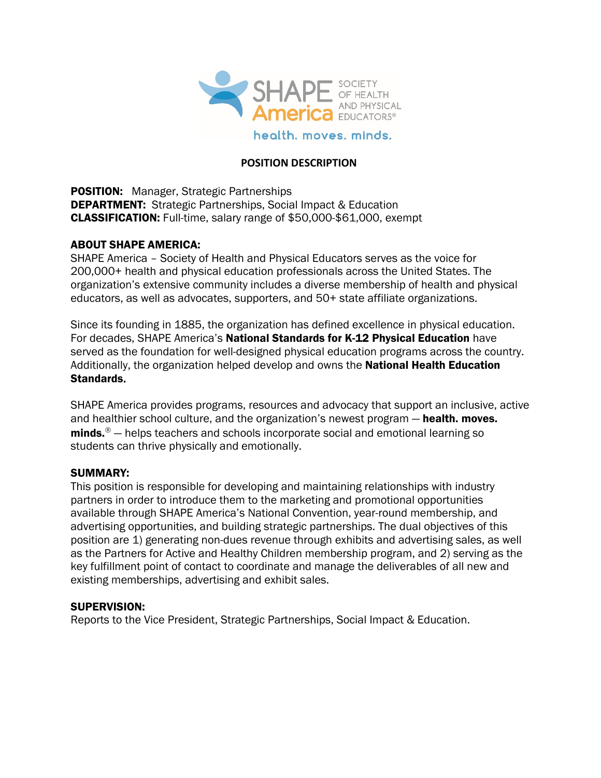

# **POSITION DESCRIPTION**

**POSITION:** Manager, Strategic Partnerships **DEPARTMENT:** Strategic Partnerships, Social Impact & Education CLASSIFICATION: Full-time, salary range of \$50,000-\$61,000, exempt

#### ABOUT SHAPE AMERICA:

SHAPE America – Society of Health and Physical Educators serves as the voice for 200,000+ health and physical education professionals across the United States. The organization's extensive community includes a diverse membership of health and physical educators, as well as advocates, supporters, and 50+ state affiliate organizations.

Since its founding in 1885, the organization has defined excellence in physical education. For decades, SHAPE America's [National Standards for K-12 Physical Education](https://portal.shapeamerica.org/standards/pe/default.aspx) have served as the foundation for well-designed physical education programs across the country. Additionally, the organization helped develop and owns the National Health Education [Standards](https://www.shapeamerica.org/standards/health/default.aspx).

SHAPE America provides programs, resources and advocacy that support an inclusive, active and healthier school culture, and the organization's newest program - health. moves.  $minds.  $®$  – helps teachers and schools incorporate social and emotional learning so$ students can thrive physically and emotionally.

#### SUMMARY:

This position is responsible for developing and maintaining relationships with industry partners in order to introduce them to the marketing and promotional opportunities available through SHAPE America's National Convention, year-round membership, and advertising opportunities, and building strategic partnerships. The dual objectives of this position are 1) generating non-dues revenue through exhibits and advertising sales, as well as the Partners for Active and Healthy Children membership program, and 2) serving as the key fulfillment point of contact to coordinate and manage the deliverables of all new and existing memberships, advertising and exhibit sales.

#### SUPERVISION:

Reports to the Vice President, Strategic Partnerships, Social Impact & Education.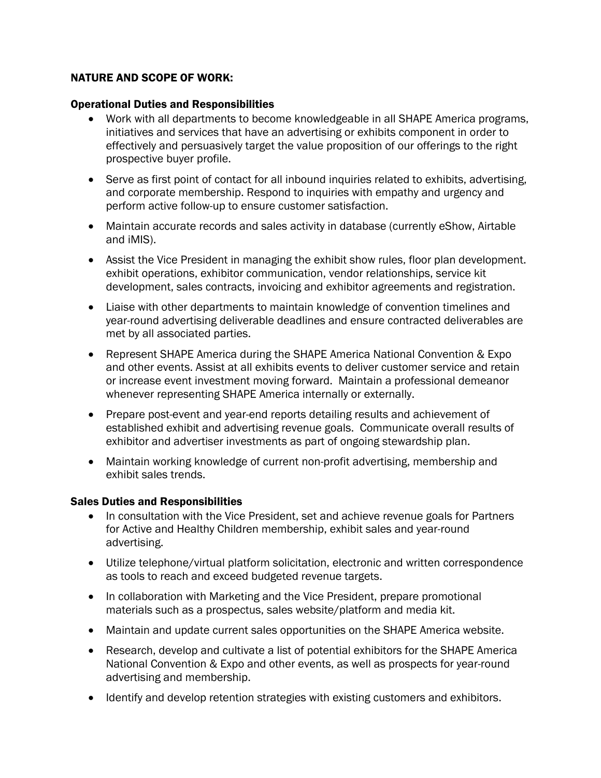# NATURE AND SCOPE OF WORK:

## Operational Duties and Responsibilities

- Work with all departments to become knowledgeable in all SHAPE America programs, initiatives and services that have an advertising or exhibits component in order to effectively and persuasively target the value proposition of our offerings to the right prospective buyer profile.
- Serve as first point of contact for all inbound inquiries related to exhibits, advertising, and corporate membership. Respond to inquiries with empathy and urgency and perform active follow-up to ensure customer satisfaction.
- Maintain accurate records and sales activity in database (currently eShow, Airtable and iMIS).
- Assist the Vice President in managing the exhibit show rules, floor plan development. exhibit operations, exhibitor communication, vendor relationships, service kit development, sales contracts, invoicing and exhibitor agreements and registration.
- Liaise with other departments to maintain knowledge of convention timelines and year-round advertising deliverable deadlines and ensure contracted deliverables are met by all associated parties.
- Represent SHAPE America during the SHAPE America National Convention & Expo and other events. Assist at all exhibits events to deliver customer service and retain or increase event investment moving forward. Maintain a professional demeanor whenever representing SHAPE America internally or externally.
- Prepare post-event and year-end reports detailing results and achievement of established exhibit and advertising revenue goals. Communicate overall results of exhibitor and advertiser investments as part of ongoing stewardship plan.
- Maintain working knowledge of current non-profit advertising, membership and exhibit sales trends.

#### Sales Duties and Responsibilities

- In consultation with the Vice President, set and achieve revenue goals for Partners for Active and Healthy Children membership, exhibit sales and year-round advertising.
- Utilize telephone/virtual platform solicitation, electronic and written correspondence as tools to reach and exceed budgeted revenue targets.
- In collaboration with Marketing and the Vice President, prepare promotional materials such as a prospectus, sales website/platform and media kit.
- Maintain and update current sales opportunities on the SHAPE America website.
- Research, develop and cultivate a list of potential exhibitors for the SHAPE America National Convention & Expo and other events, as well as prospects for year-round advertising and membership.
- Identify and develop retention strategies with existing customers and exhibitors.